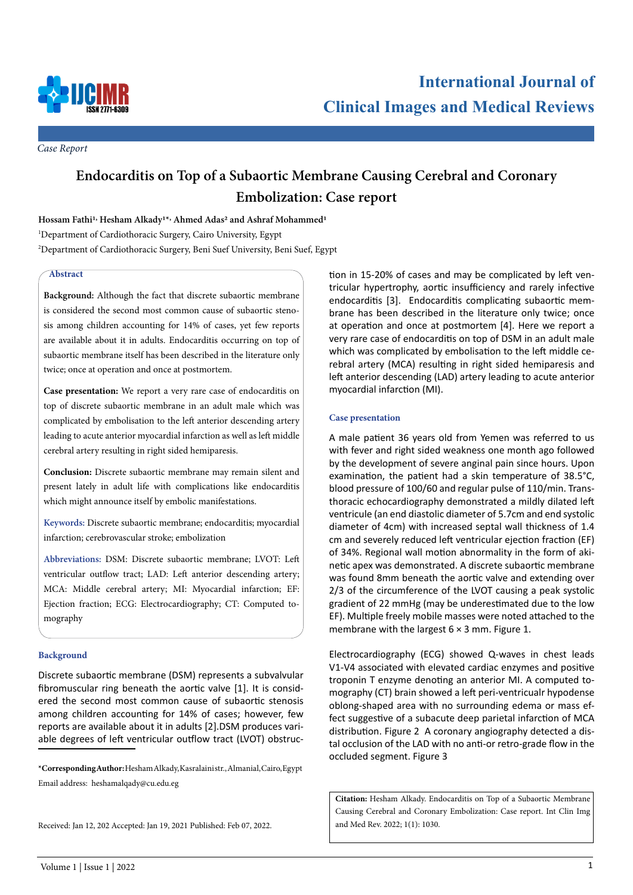

*Case Report*

# **Endocarditis on Top of a Subaortic Membrane Causing Cerebral and Coronary Embolization: Case report**

**Hossam Fathi1, Hesham Alkady1\*, Ahmed Adas2 and Ashraf Mohammed1** 1 Department of Cardiothoracic Surgery, Cairo University, Egypt 2 Department of Cardiothoracic Surgery, Beni Suef University, Beni Suef, Egypt

## **Abstract**

**Background:** Although the fact that discrete subaortic membrane is considered the second most common cause of subaortic stenosis among children accounting for 14% of cases, yet few reports are available about it in adults. Endocarditis occurring on top of subaortic membrane itself has been described in the literature only twice; once at operation and once at postmortem.

**Case presentation:** We report a very rare case of endocarditis on top of discrete subaortic membrane in an adult male which was complicated by embolisation to the left anterior descending artery leading to acute anterior myocardial infarction as well as left middle cerebral artery resulting in right sided hemiparesis.

**Conclusion:** Discrete subaortic membrane may remain silent and present lately in adult life with complications like endocarditis which might announce itself by embolic manifestations.

**Keywords:** Discrete subaortic membrane; endocarditis; myocardial infarction; cerebrovascular stroke; embolization

**Abbreviations:** DSM: Discrete subaortic membrane; LVOT: Left ventricular outflow tract; LAD: Left anterior descending artery; MCA: Middle cerebral artery; MI: Myocardial infarction; EF: Ejection fraction; ECG: Electrocardiography; CT: Computed tomography

#### **Background**

Discrete subaortic membrane (DSM) represents a subvalvular fibromuscular ring beneath the aortic valve [1]. It is considered the second most common cause of subaortic stenosis among children accounting for 14% of cases; however, few reports are available about it in adults [2].DSM produces variable degrees of left ventricular outflow tract (LVOT) obstruc-

**\*Corresponding Author:**Hesham Alkady, Kasralaini str., Almanial, Cairo, Egypt Email address: heshamalqady@cu.edu.eg

tion in 15-20% of cases and may be complicated by left ventricular hypertrophy, aortic insufficiency and rarely infective endocarditis [3]. Endocarditis complicating subaortic membrane has been described in the literature only twice; once at operation and once at postmortem [4]. Here we report a very rare case of endocarditis on top of DSM in an adult male which was complicated by embolisation to the left middle cerebral artery (MCA) resulting in right sided hemiparesis and left anterior descending (LAD) artery leading to acute anterior myocardial infarction (MI).

#### **Case presentation**

A male patient 36 years old from Yemen was referred to us with fever and right sided weakness one month ago followed by the development of severe anginal pain since hours. Upon examination, the patient had a skin temperature of 38.5°C, blood pressure of 100/60 and regular pulse of 110/min. Transthoracic echocardiography demonstrated a mildly dilated left ventricule (an end diastolic diameter of 5.7cm and end systolic diameter of 4cm) with increased septal wall thickness of 1.4 cm and severely reduced left ventricular ejection fraction (EF) of 34%. Regional wall motion abnormality in the form of akinetic apex was demonstrated. A discrete subaortic membrane was found 8mm beneath the aortic valve and extending over 2/3 of the circumference of the LVOT causing a peak systolic gradient of 22 mmHg (may be underestimated due to the low EF). Multiple freely mobile masses were noted attached to the membrane with the largest  $6 \times 3$  mm. Figure 1.

Electrocardiography (ECG) showed Q-waves in chest leads V1-V4 associated with elevated cardiac enzymes and positive troponin T enzyme denoting an anterior MI. A computed tomography (CT) brain showed a left peri-ventricualr hypodense oblong-shaped area with no surrounding edema or mass effect suggestive of a subacute deep parietal infarction of MCA distribution. Figure 2 A coronary angiography detected a distal occlusion of the LAD with no anti-or retro-grade flow in the occluded segment. Figure 3

**Citation:** Hesham Alkady. Endocarditis on Top of a Subaortic Membrane Causing Cerebral and Coronary Embolization: Case report. Int Clin Img and Med Rev. 2022; 1(1): 1030.

Received: Jan 12, 202 Accepted: Jan 19, 2021 Published: Feb 07, 2022.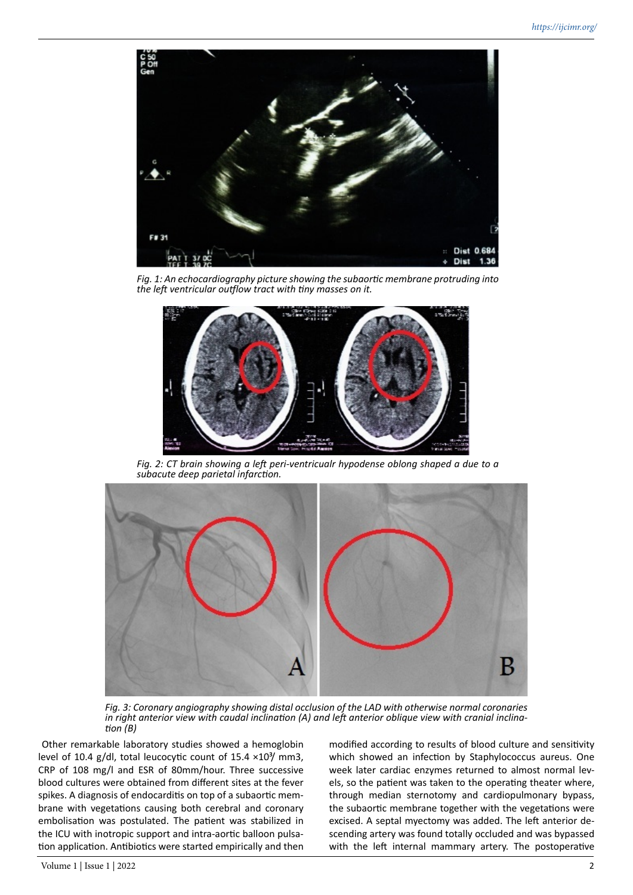

*Fig. 1: An echocardiography picture showing the subaortic membrane protruding into the left ventricular outflow tract with tiny masses on it.*



*Fig. 2: CT brain showing a left peri-ventricualr hypodense oblong shaped a due to a subacute deep parietal infarction.*



*Fig. 3: Coronary angiography showing distal occlusion of the LAD with otherwise normal coronaries in right anterior view with caudal inclination (A) and left anterior oblique view with cranial inclination (B)* 

 Other remarkable laboratory studies showed a hemoglobin level of 10.4 g/dl, total leucocytic count of 15.4  $\times$ 10<sup>3</sup>/ mm3, CRP of 108 mg/l and ESR of 80mm/hour. Three successive blood cultures were obtained from different sites at the fever spikes. A diagnosis of endocarditis on top of a subaortic membrane with vegetations causing both cerebral and coronary embolisation was postulated. The patient was stabilized in the ICU with inotropic support and intra-aortic balloon pulsation application. Antibiotics were started empirically and then modified according to results of blood culture and sensitivity which showed an infection by Staphylococcus aureus. One week later cardiac enzymes returned to almost normal levels, so the patient was taken to the operating theater where, through median sternotomy and cardiopulmonary bypass, the subaortic membrane together with the vegetations were excised. A septal myectomy was added. The left anterior descending artery was found totally occluded and was bypassed with the left internal mammary artery. The postoperative